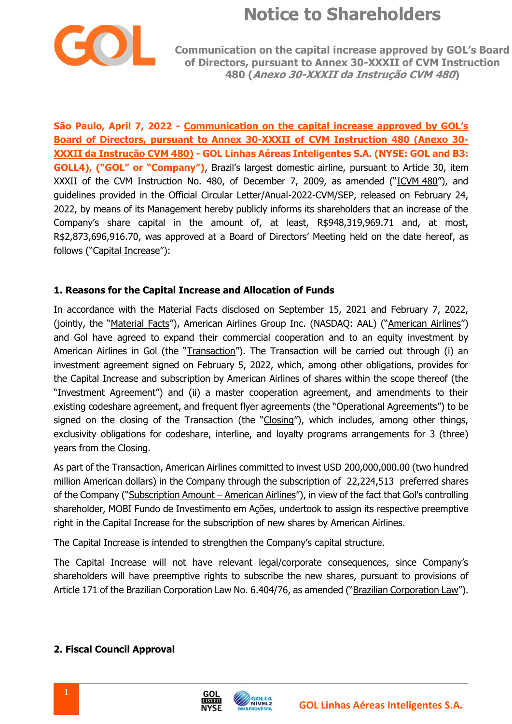

**Communication on the capital increase approved by GOL's Board of Directors, pursuant to Annex 30-XXXII of CVM Instruction 480 (Anexo 30-XXXII da Instrução CVM 480)**

**São Paulo, April 7, 2022 - Communication on the capital increase approved by GOL's Board of Directors, pursuant to Annex 30-XXXII of CVM Instruction 480 (Anexo 30- XXXII da Instrução CVM 480) - GOL Linhas Aéreas Inteligentes S.A. (NYSE: GOL and B3: GOLL4), ("GOL" or "Company")**, Brazil's largest domestic airline, pursuant to Article 30, item XXXII of the CVM Instruction No. 480, of December 7, 2009, as amended ("ICVM 480"), and guidelines provided in the Official Circular Letter/Anual-2022-CVM/SEP, released on February 24, 2022, by means of its Management hereby publicly informs its shareholders that an increase of the Company's share capital in the amount of, at least, R\$948,319,969.71 and, at most, R\$2,873,696,916.70, was approved at a Board of Directors' Meeting held on the date hereof, as follows ("Capital Increase"):

#### **1. Reasons for the Capital Increase and Allocation of Funds**

In accordance with the Material Facts disclosed on September 15, 2021 and February 7, 2022, (jointly, the "Material Facts"), American Airlines Group Inc. (NASDAQ: AAL) ("American Airlines") and Gol have agreed to expand their commercial cooperation and to an equity investment by American Airlines in Gol (the "Transaction"). The Transaction will be carried out through (i) an investment agreement signed on February 5, 2022, which, among other obligations, provides for the Capital Increase and subscription by American Airlines of shares within the scope thereof (the "Investment Agreement") and (ii) a master cooperation agreement, and amendments to their existing codeshare agreement, and frequent flyer agreements (the "Operational Agreements") to be signed on the closing of the Transaction (the "Closing"), which includes, among other things, exclusivity obligations for codeshare, interline, and loyalty programs arrangements for 3 (three) years from the Closing.

As part of the Transaction, American Airlines committed to invest USD 200,000,000.00 (two hundred million American dollars) in the Company through the subscription of 22,224,513 preferred shares of the Company ("Subscription Amount – American Airlines"), in view of the fact that Gol's controlling shareholder, MOBI Fundo de Investimento em Ações, undertook to assign its respective preemptive right in the Capital Increase for the subscription of new shares by American Airlines.

The Capital Increase is intended to strengthen the Company's capital structure.

The Capital Increase will not have relevant legal/corporate consequences, since Company's shareholders will have preemptive rights to subscribe the new shares, pursuant to provisions of Article 171 of the Brazilian Corporation Law No. 6.404/76, as amended ("Brazilian Corporation Law").

#### **2. Fiscal Council Approval**



GOI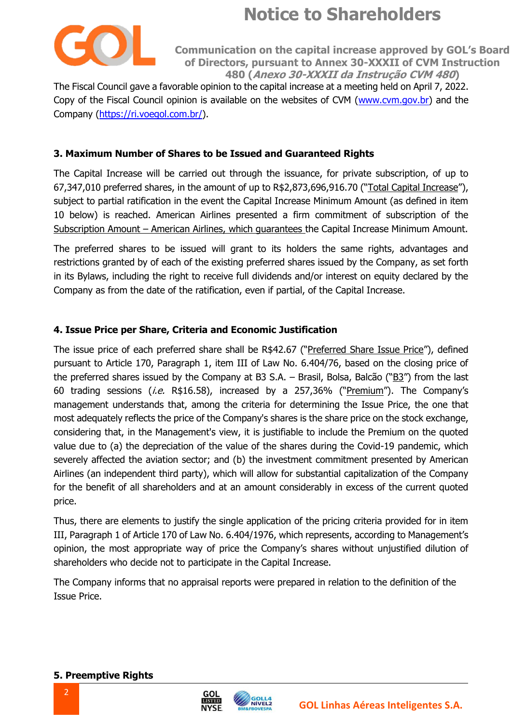

**Communication on the capital increase approved by GOL's Board of Directors, pursuant to Annex 30-XXXII of CVM Instruction 480 (Anexo 30-XXXII da Instrução CVM 480)**

The Fiscal Council gave a favorable opinion to the capital increase at a meeting held on April 7, 2022. Copy of the Fiscal Council opinion is available on the websites of CVM [\(www.cvm.gov.br\)](http://www.cvm.gov.br/) and the Company [\(https://ri.voegol.com.br/\)](https://ri.voegol.com.br/).

#### **3. Maximum Number of Shares to be Issued and Guaranteed Rights**

The Capital Increase will be carried out through the issuance, for private subscription, of up to 67,347,010 preferred shares, in the amount of up to R\$2,873,696,916.70 ("Total Capital Increase"), subject to partial ratification in the event the Capital Increase Minimum Amount (as defined in item 10 below) is reached. American Airlines presented a firm commitment of subscription of the Subscription Amount – American Airlines, which guarantees the Capital Increase Minimum Amount.

The preferred shares to be issued will grant to its holders the same rights, advantages and restrictions granted by of each of the existing preferred shares issued by the Company, as set forth in its Bylaws, including the right to receive full dividends and/or interest on equity declared by the Company as from the date of the ratification, even if partial, of the Capital Increase.

#### **4. Issue Price per Share, Criteria and Economic Justification**

The issue price of each preferred share shall be R\$42.67 ("Preferred Share Issue Price"), defined pursuant to Article 170, Paragraph 1, item III of Law No. 6.404/76, based on the closing price of the preferred shares issued by the Company at B3 S.A. – Brasil, Bolsa, Balcão ("B3") from the last 60 trading sessions (i.e. R\$16.58), increased by a 257,36% ("Premium"). The Company's management understands that, among the criteria for determining the Issue Price, the one that most adequately reflects the price of the Company's shares is the share price on the stock exchange, considering that, in the Management's view, it is justifiable to include the Premium on the quoted value due to (a) the depreciation of the value of the shares during the Covid-19 pandemic, which severely affected the aviation sector; and (b) the investment commitment presented by American Airlines (an independent third party), which will allow for substantial capitalization of the Company for the benefit of all shareholders and at an amount considerably in excess of the current quoted price.

Thus, there are elements to justify the single application of the pricing criteria provided for in item III, Paragraph 1 of Article 170 of Law No. 6.404/1976, which represents, according to Management's opinion, the most appropriate way of price the Company's shares without unjustified dilution of shareholders who decide not to participate in the Capital Increase.

The Company informs that no appraisal reports were prepared in relation to the definition of the Issue Price.

**NÍVEL2** 

GOI **LISTED** 

**NYSE** 

#### **5. Preemptive Rights**

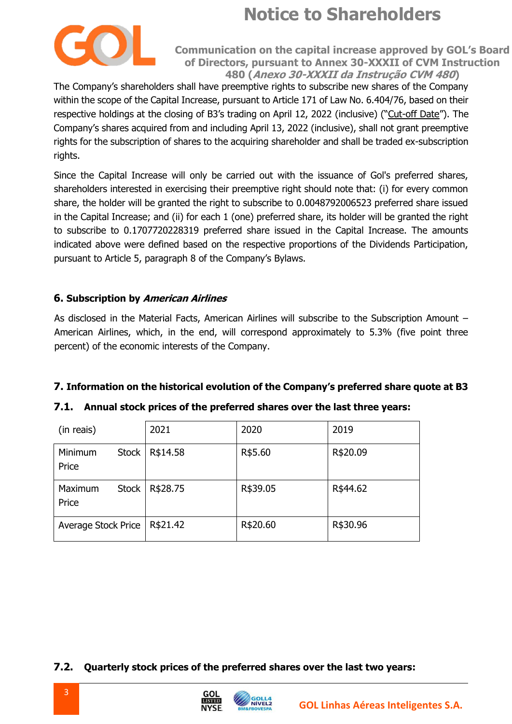

**Communication on the capital increase approved by GOL's Board of Directors, pursuant to Annex 30-XXXII of CVM Instruction 480 (Anexo 30-XXXII da Instrução CVM 480)**

The Company's shareholders shall have preemptive rights to subscribe new shares of the Company within the scope of the Capital Increase, pursuant to Article 171 of Law No. 6.404/76, based on their respective holdings at the closing of B3's trading on April 12, 2022 (inclusive) ("Cut-off Date"). The Company's shares acquired from and including April 13, 2022 (inclusive), shall not grant preemptive rights for the subscription of shares to the acquiring shareholder and shall be traded ex-subscription rights.

Since the Capital Increase will only be carried out with the issuance of Gol's preferred shares, shareholders interested in exercising their preemptive right should note that: (i) for every common share, the holder will be granted the right to subscribe to 0.0048792006523 preferred share issued in the Capital Increase; and (ii) for each 1 (one) preferred share, its holder will be granted the right to subscribe to 0.1707720228319 preferred share issued in the Capital Increase. The amounts indicated above were defined based on the respective proportions of the Dividends Participation, pursuant to Article 5, paragraph 8 of the Company's Bylaws.

### **6. Subscription by American Airlines**

As disclosed in the Material Facts, American Airlines will subscribe to the Subscription Amount – American Airlines, which, in the end, will correspond approximately to 5.3% (five point three percent) of the economic interests of the Company.

#### **7. Information on the historical evolution of the Company's preferred share quote at B3**

#### **7.1. Annual stock prices of the preferred shares over the last three years:**

| (in reais)                       | 2021     | 2020     | 2019     |
|----------------------------------|----------|----------|----------|
| Minimum<br><b>Stock</b><br>Price | R\$14.58 | R\$5.60  | R\$20.09 |
| Maximum<br><b>Stock</b><br>Price | R\$28.75 | R\$39.05 | R\$44.62 |
| <b>Average Stock Price</b>       | R\$21.42 | R\$20.60 | R\$30.96 |

**7.2. Quarterly stock prices of the preferred shares over the last two years:** 

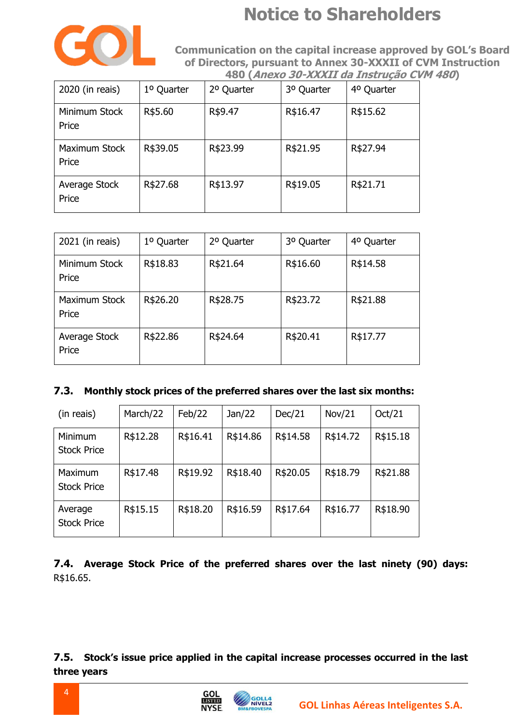

**Communication on the capital increase approved by GOL's Board Communication on the capital increase approved by GOL's Board of Directors, pursuant to Annex 30-XXXII of CVM Instruction 480 (Anexo 30-XXXII da Instrução CVM 480)**

| 2020 (in reais)        | 1º Quarter | 2º Quarter | 3º Quarter | 4º Quarter |
|------------------------|------------|------------|------------|------------|
| Minimum Stock<br>Price | R\$5.60    | R\$9.47    | R\$16.47   | R\$15.62   |
| Maximum Stock<br>Price | R\$39.05   | R\$23.99   | R\$21.95   | R\$27.94   |
| Average Stock<br>Price | R\$27.68   | R\$13.97   | R\$19.05   | R\$21.71   |

| 2021 (in reais)        | 1º Quarter | 2º Quarter | 3º Quarter | 4º Quarter |
|------------------------|------------|------------|------------|------------|
| Minimum Stock<br>Price | R\$18.83   | R\$21.64   | R\$16.60   | R\$14.58   |
| Maximum Stock<br>Price | R\$26.20   | R\$28.75   | R\$23.72   | R\$21.88   |
| Average Stock<br>Price | R\$22.86   | R\$24.64   | R\$20.41   | R\$17.77   |

#### **7.3. Monthly stock prices of the preferred shares over the last six months:**

| (in reais)                    | March/22 | Feb/22   | Jan/22   | Dec/21   | Nov/21   | Oct/21   |
|-------------------------------|----------|----------|----------|----------|----------|----------|
| Minimum<br><b>Stock Price</b> | R\$12.28 | R\$16.41 | R\$14.86 | R\$14.58 | R\$14.72 | R\$15.18 |
| Maximum<br><b>Stock Price</b> | R\$17.48 | R\$19.92 | R\$18.40 | R\$20.05 | R\$18.79 | R\$21.88 |
| Average<br><b>Stock Price</b> | R\$15.15 | R\$18.20 | R\$16.59 | R\$17.64 | R\$16.77 | R\$18.90 |

**7.4. Average Stock Price of the preferred shares over the last ninety (90) days:** R\$16.65.

**7.5. Stock's issue price applied in the capital increase processes occurred in the last three years** 

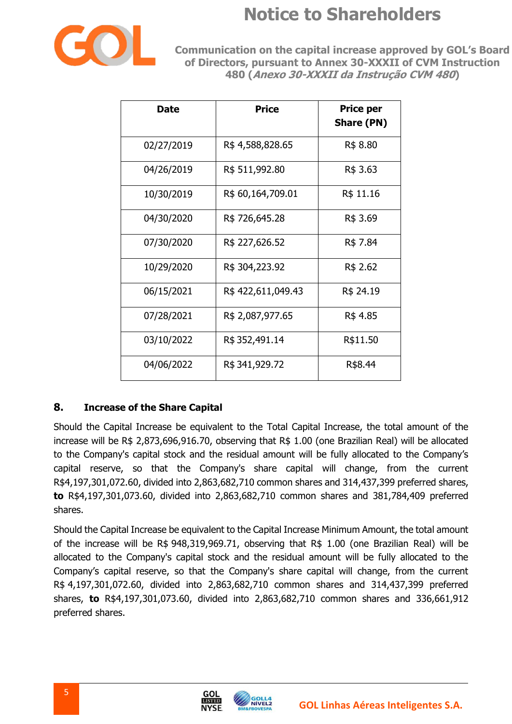

**Communication on the capital increase approved by GOL's Board of Directors, pursuant to Annex 30-XXXII of CVM Instruction 480 (Anexo 30-XXXII da Instrução CVM 480)**

| <b>Date</b> | Price             | <b>Price per</b><br><b>Share (PN)</b> |
|-------------|-------------------|---------------------------------------|
| 02/27/2019  | R\$4,588,828.65   | R\$ 8.80                              |
| 04/26/2019  | R\$ 511,992.80    | R\$ 3.63                              |
| 10/30/2019  | R\$ 60,164,709.01 | R\$ 11.16                             |
| 04/30/2020  | R\$ 726,645.28    | R\$ 3.69                              |
| 07/30/2020  | R\$ 227,626.52    | R\$ 7.84                              |
| 10/29/2020  | R\$ 304,223.92    | R\$ 2.62                              |
| 06/15/2021  | R\$422,611,049.43 | R\$ 24.19                             |
| 07/28/2021  | R\$ 2,087,977.65  | R\$ 4.85                              |
| 03/10/2022  | R\$ 352,491.14    | R\$11.50                              |
| 04/06/2022  | R\$341,929.72     | R\$8.44                               |

### **8. Increase of the Share Capital**

Should the Capital Increase be equivalent to the Total Capital Increase, the total amount of the increase will be R\$ 2,873,696,916.70, observing that R\$ 1.00 (one Brazilian Real) will be allocated to the Company's capital stock and the residual amount will be fully allocated to the Company's capital reserve, so that the Company's share capital will change, from the current R\$4,197,301,072.60, divided into 2,863,682,710 common shares and 314,437,399 preferred shares, **to** R\$4,197,301,073.60, divided into 2,863,682,710 common shares and 381,784,409 preferred shares.

Should the Capital Increase be equivalent to the Capital Increase Minimum Amount, the total amount of the increase will be R\$ 948,319,969.71, observing that R\$ 1.00 (one Brazilian Real) will be allocated to the Company's capital stock and the residual amount will be fully allocated to the Company's capital reserve, so that the Company's share capital will change, from the current R\$ 4,197,301,072.60, divided into 2,863,682,710 common shares and 314,437,399 preferred shares, **to** R\$4,197,301,073.60, divided into 2,863,682,710 common shares and 336,661,912 preferred shares.

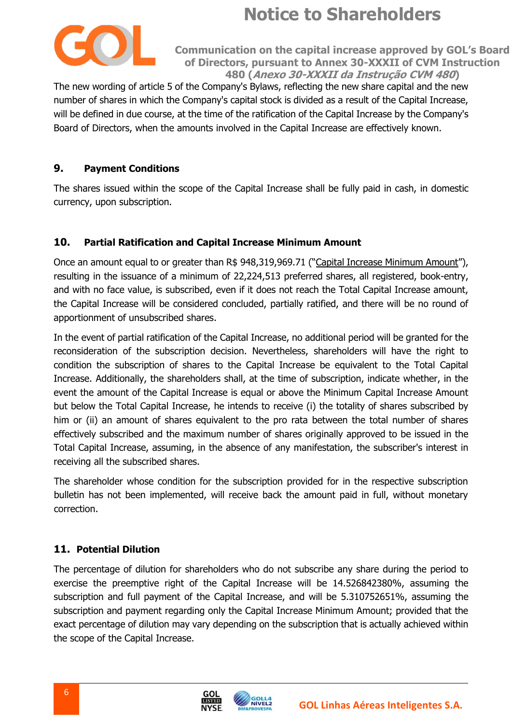

**Communication on the capital increase approved by GOL's Board of Directors, pursuant to Annex 30-XXXII of CVM Instruction 480 (Anexo 30-XXXII da Instrução CVM 480)**

The new wording of article 5 of the Company's Bylaws, reflecting the new share capital and the new number of shares in which the Company's capital stock is divided as a result of the Capital Increase, will be defined in due course, at the time of the ratification of the Capital Increase by the Company's Board of Directors, when the amounts involved in the Capital Increase are effectively known.

### **9. Payment Conditions**

The shares issued within the scope of the Capital Increase shall be fully paid in cash, in domestic currency, upon subscription.

#### **10. Partial Ratification and Capital Increase Minimum Amount**

Once an amount equal to or greater than R\$ 948,319,969.71 ("Capital Increase Minimum Amount"), resulting in the issuance of a minimum of 22,224,513 preferred shares, all registered, book-entry, and with no face value, is subscribed, even if it does not reach the Total Capital Increase amount, the Capital Increase will be considered concluded, partially ratified, and there will be no round of apportionment of unsubscribed shares.

In the event of partial ratification of the Capital Increase, no additional period will be granted for the reconsideration of the subscription decision. Nevertheless, shareholders will have the right to condition the subscription of shares to the Capital Increase be equivalent to the Total Capital Increase. Additionally, the shareholders shall, at the time of subscription, indicate whether, in the event the amount of the Capital Increase is equal or above the Minimum Capital Increase Amount but below the Total Capital Increase, he intends to receive (i) the totality of shares subscribed by him or (ii) an amount of shares equivalent to the pro rata between the total number of shares effectively subscribed and the maximum number of shares originally approved to be issued in the Total Capital Increase, assuming, in the absence of any manifestation, the subscriber's interest in receiving all the subscribed shares.

The shareholder whose condition for the subscription provided for in the respective subscription bulletin has not been implemented, will receive back the amount paid in full, without monetary correction.

### **11. Potential Dilution**

The percentage of dilution for shareholders who do not subscribe any share during the period to exercise the preemptive right of the Capital Increase will be 14.526842380%, assuming the subscription and full payment of the Capital Increase, and will be 5.310752651%, assuming the subscription and payment regarding only the Capital Increase Minimum Amount; provided that the exact percentage of dilution may vary depending on the subscription that is actually achieved within the scope of the Capital Increase.

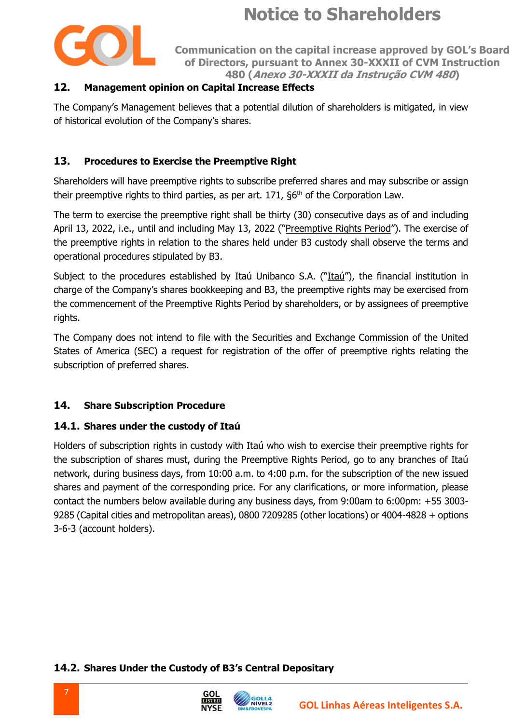

**Communication on the capital increase approved by GOL's Board of Directors, pursuant to Annex 30-XXXII of CVM Instruction 480 (Anexo 30-XXXII da Instrução CVM 480)**

### **12. Management opinion on Capital Increase Effects**

The Company's Management believes that a potential dilution of shareholders is mitigated, in view of historical evolution of the Company's shares.

#### **13. Procedures to Exercise the Preemptive Right**

Shareholders will have preemptive rights to subscribe preferred shares and may subscribe or assign their preemptive rights to third parties, as per art.  $171$ ,  $66<sup>th</sup>$  of the Corporation Law.

The term to exercise the preemptive right shall be thirty (30) consecutive days as of and including April 13, 2022, i.e., until and including May 13, 2022 ("Preemptive Rights Period"). The exercise of the preemptive rights in relation to the shares held under B3 custody shall observe the terms and operational procedures stipulated by B3.

Subject to the procedures established by Itaú Unibanco S.A. ("Itaú"), the financial institution in charge of the Company's shares bookkeeping and B3, the preemptive rights may be exercised from the commencement of the Preemptive Rights Period by shareholders, or by assignees of preemptive rights.

The Company does not intend to file with the Securities and Exchange Commission of the United States of America (SEC) a request for registration of the offer of preemptive rights relating the subscription of preferred shares.

### **14. Share Subscription Procedure**

#### **14.1. Shares under the custody of Itaú**

Holders of subscription rights in custody with Itaú who wish to exercise their preemptive rights for the subscription of shares must, during the Preemptive Rights Period, go to any branches of Itaú network, during business days, from 10:00 a.m. to 4:00 p.m. for the subscription of the new issued shares and payment of the corresponding price. For any clarifications, or more information, please contact the numbers below available during any business days, from 9:00am to 6:00pm: +55 3003- 9285 (Capital cities and metropolitan areas), 0800 7209285 (other locations) or 4004-4828 + options 3-6-3 (account holders).

#### **14.2. Shares Under the Custody of B3's Central Depositary**



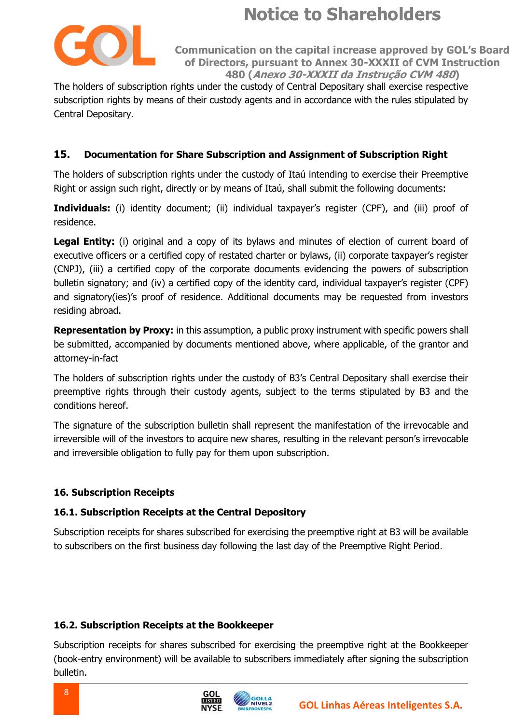

**Communication on the capital increase approved by GOL's Board of Directors, pursuant to Annex 30-XXXII of CVM Instruction 480 (Anexo 30-XXXII da Instrução CVM 480)**

The holders of subscription rights under the custody of Central Depositary shall exercise respective subscription rights by means of their custody agents and in accordance with the rules stipulated by Central Depositary.

### **15. Documentation for Share Subscription and Assignment of Subscription Right**

The holders of subscription rights under the custody of Itaú intending to exercise their Preemptive Right or assign such right, directly or by means of Itaú, shall submit the following documents:

**Individuals:** (i) identity document; (ii) individual taxpayer's register (CPF), and (iii) proof of residence.

Legal Entity: (i) original and a copy of its bylaws and minutes of election of current board of executive officers or a certified copy of restated charter or bylaws, (ii) corporate taxpayer's register (CNPJ), (iii) a certified copy of the corporate documents evidencing the powers of subscription bulletin signatory; and (iv) a certified copy of the identity card, individual taxpayer's register (CPF) and signatory(ies)'s proof of residence. Additional documents may be requested from investors residing abroad.

**Representation by Proxy:** in this assumption, a public proxy instrument with specific powers shall be submitted, accompanied by documents mentioned above, where applicable, of the grantor and attorney-in-fact

The holders of subscription rights under the custody of B3's Central Depositary shall exercise their preemptive rights through their custody agents, subject to the terms stipulated by B3 and the conditions hereof.

The signature of the subscription bulletin shall represent the manifestation of the irrevocable and irreversible will of the investors to acquire new shares, resulting in the relevant person's irrevocable and irreversible obligation to fully pay for them upon subscription.

#### **16. Subscription Receipts**

#### **16.1. Subscription Receipts at the Central Depository**

Subscription receipts for shares subscribed for exercising the preemptive right at B3 will be available to subscribers on the first business day following the last day of the Preemptive Right Period.

#### **16.2. Subscription Receipts at the Bookkeeper**

Subscription receipts for shares subscribed for exercising the preemptive right at the Bookkeeper (book-entry environment) will be available to subscribers immediately after signing the subscription bulletin.

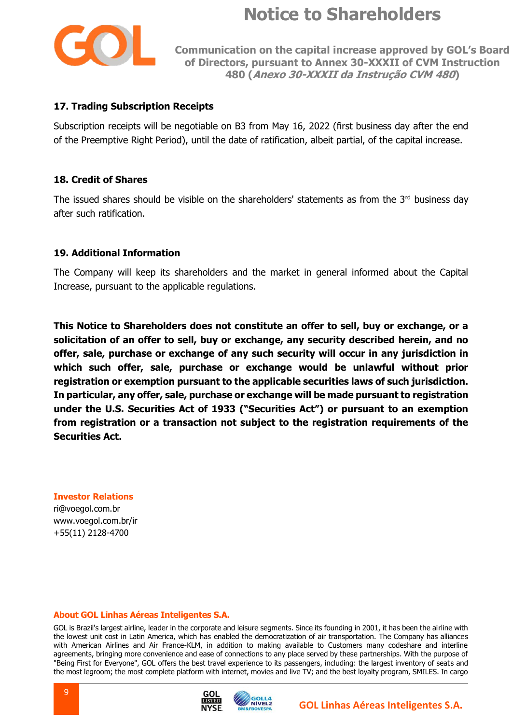

**Communication on the capital increase approved by GOL's Board of Directors, pursuant to Annex 30-XXXII of CVM Instruction 480 (Anexo 30-XXXII da Instrução CVM 480)**

#### **17. Trading Subscription Receipts**

Subscription receipts will be negotiable on B3 from May 16, 2022 (first business day after the end of the Preemptive Right Period), until the date of ratification, albeit partial, of the capital increase.

#### **18. Credit of Shares**

The issued shares should be visible on the shareholders' statements as from the  $3<sup>rd</sup>$  business day after such ratification.

#### **19. Additional Information**

The Company will keep its shareholders and the market in general informed about the Capital Increase, pursuant to the applicable regulations.

**This Notice to Shareholders does not constitute an offer to sell, buy or exchange, or a solicitation of an offer to sell, buy or exchange, any security described herein, and no offer, sale, purchase or exchange of any such security will occur in any jurisdiction in which such offer, sale, purchase or exchange would be unlawful without prior registration or exemption pursuant to the applicable securities laws of such jurisdiction. In particular, any offer, sale, purchase or exchange will be made pursuant to registration under the U.S. Securities Act of 1933 ("Securities Act") or pursuant to an exemption from registration or a transaction not subject to the registration requirements of the Securities Act.**

#### **Investor Relations**

ri@voegol.com.br www.voegol.com.br/ir +55(11) 2128-4700

#### **About GOL Linhas Aéreas Inteligentes S.A.**

GOL is Brazil's largest airline, leader in the corporate and leisure segments. Since its founding in 2001, it has been the airline with the lowest unit cost in Latin America, which has enabled the democratization of air transportation. The Company has alliances with American Airlines and Air France-KLM, in addition to making available to Customers many codeshare and interline agreements, bringing more convenience and ease of connections to any place served by these partnerships. With the purpose of "Being First for Everyone", GOL offers the best travel experience to its passengers, including: the largest inventory of seats and the most legroom; the most complete platform with internet, movies and live TV; and the best loyalty program, SMILES. In cargo